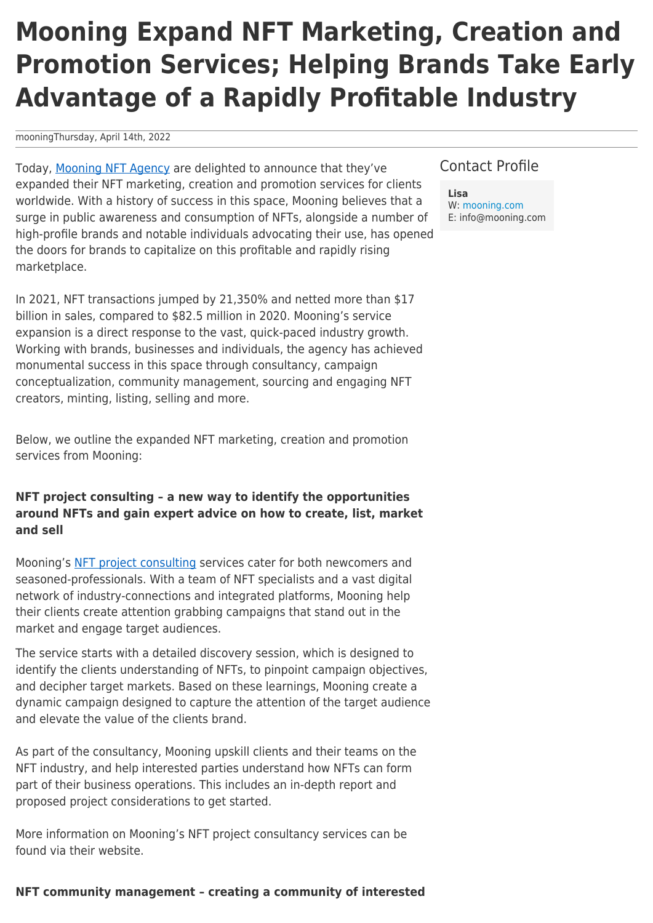# **Mooning Expand NFT Marketing, Creation and Promotion Services; Helping Brands Take Early Advantage of a Rapidly Profitable Industry**

mooningThursday, April 14th, 2022

Today, [Mooning NFT Agency](https://mooning.com) are delighted to announce that they've expanded their NFT marketing, creation and promotion services for clients worldwide. With a history of success in this space, Mooning believes that a surge in public awareness and consumption of NFTs, alongside a number of high-profile brands and notable individuals advocating their use, has opened the doors for brands to capitalize on this profitable and rapidly rising marketplace.

In 2021, NFT transactions jumped by 21,350% and netted more than \$17 billion in sales, compared to \$82.5 million in 2020. Mooning's service expansion is a direct response to the vast, quick-paced industry growth. Working with brands, businesses and individuals, the agency has achieved monumental success in this space through consultancy, campaign conceptualization, community management, sourcing and engaging NFT creators, minting, listing, selling and more.

Below, we outline the expanded NFT marketing, creation and promotion services from Mooning:

## **NFT project consulting – a new way to identify the opportunities around NFTs and gain expert advice on how to create, list, market and sell**

Mooning's [NFT project consulting](https://mooning.com/nft-project-consulting-campaign-conceptualisation/) services cater for both newcomers and seasoned-professionals. With a team of NFT specialists and a vast digital network of industry-connections and integrated platforms, Mooning help their clients create attention grabbing campaigns that stand out in the market and engage target audiences.

The service starts with a detailed discovery session, which is designed to identify the clients understanding of NFTs, to pinpoint campaign objectives, and decipher target markets. Based on these learnings, Mooning create a dynamic campaign designed to capture the attention of the target audience and elevate the value of the clients brand.

As part of the consultancy, Mooning upskill clients and their teams on the NFT industry, and help interested parties understand how NFTs can form part of their business operations. This includes an in-depth report and proposed project considerations to get started.

More information on Mooning's NFT project consultancy services can be found via their website.

### Contact Profile

**Lisa** W: [mooning.com](https://mooning.com) E: info@mooning.com

#### **NFT community management – creating a community of interested**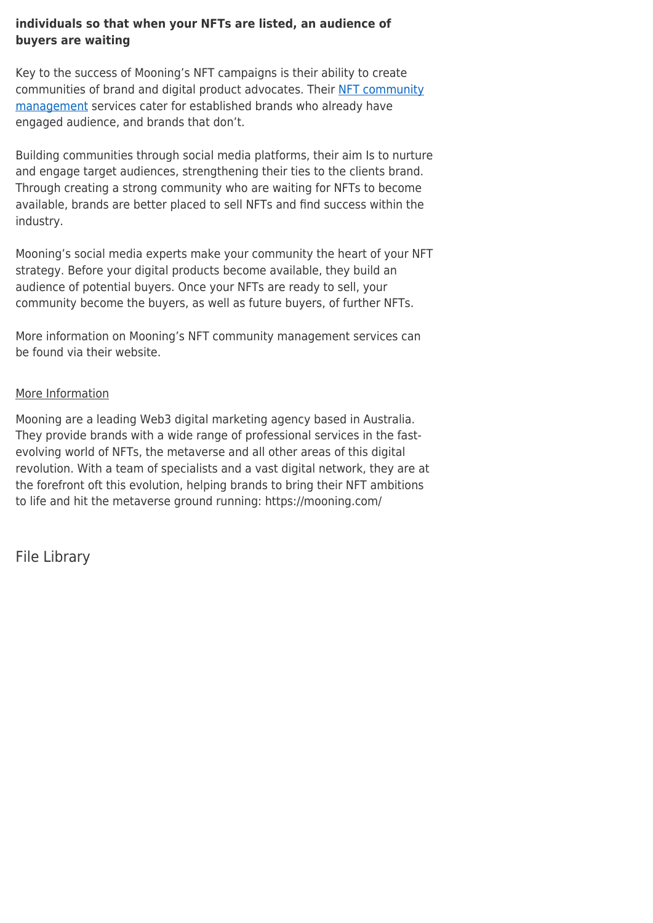## **individuals so that when your NFTs are listed, an audience of buyers are waiting**

Key to the success of Mooning's NFT campaigns is their ability to create communities of brand and digital product advocates. Their [NFT community](https://mooning.com/nft-community-management/) [management](https://mooning.com/nft-community-management/) services cater for established brands who already have engaged audience, and brands that don't.

Building communities through social media platforms, their aim Is to nurture and engage target audiences, strengthening their ties to the clients brand. Through creating a strong community who are waiting for NFTs to become available, brands are better placed to sell NFTs and find success within the industry.

Mooning's social media experts make your community the heart of your NFT strategy. Before your digital products become available, they build an audience of potential buyers. Once your NFTs are ready to sell, your community become the buyers, as well as future buyers, of further NFTs.

More information on Mooning's NFT community management services can be found via their website.

## More Information

Mooning are a leading Web3 digital marketing agency based in Australia. They provide brands with a wide range of professional services in the fastevolving world of NFTs, the metaverse and all other areas of this digital revolution. With a team of specialists and a vast digital network, they are at the forefront oft this evolution, helping brands to bring their NFT ambitions to life and hit the metaverse ground running: https://mooning.com/

File Library